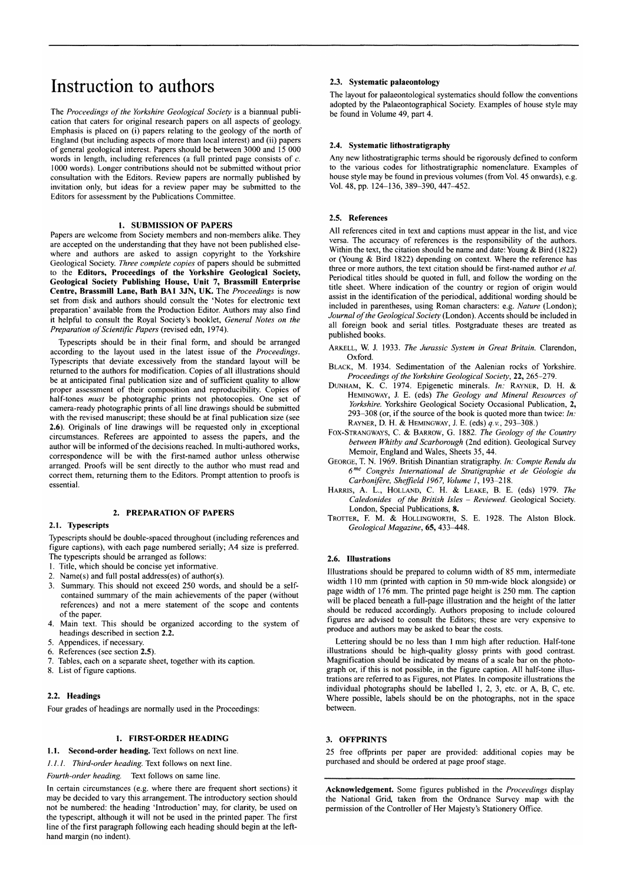## Instruction to authors

The *Proceedings of the Yorkshire Geological Society* is a biannual publication that caters for original research papers on all aspects of geology. Emphasis is placed on (i) papers relating to the geology of the north of England (but including aspects of more than local interest) and (ii) papers of general geological interest. Papers should be between 3000 and 15 000 words in length, including references (a full printed page consists of *c.*  1000 words). Longer contributions should not be submitted without prior consultation with the Editors. Review papers are normally published by invitation only, but ideas for a review paper may be submitted to the Editors for assessment by the Publications Committee.

#### **1. SUBMISSION OF PAPERS**

Papers are welcome from Society members and non-members alike. They are accepted on the understanding that they have not been published elsewhere and authors are asked to assign copyright to the Yorkshire Geological Society. *Three complete copies* of papers should be submitted to the **Editors, Proceedings of the Yorkshire Geological Society, Geological Society Publishing House, Unit** 7, **Brassmill Enterprise Centre, Brassmill Lane, Bath BA1** 3JN, **UK.** The *Proceedings* is now set from disk and authors should consult the 'Notes for electronic text preparation' available from the Production Editor. Authors may also find it helpful to consult the Royal Society's booklet, *General Notes on the Preparation of Scientific Papers* (revised edn, 1974).

Typescripts should be in their final form, and should be arranged according to the layout used in the latest issue of the *Proceedings.*  Typescripts that deviate excessively from the standard layout will be returned to the authors for modification. Copies of all illustrations should be at anticipated final publication size and of sufficient quality to allow proper assessment of their composition and reproducibility. Copies of half-tones *must* be photographic prints not photocopies. One set of camera-ready photographic prints of all line drawings should be submitted with the revised manuscript; these should be at final publication size (see **2.6).** Originals of line drawings will be requested only in exceptional circumstances. Referees are appointed to assess the papers, and the author will be informed of the decisions reached. In multi-authored works, correspondence will be with the first-named author unless otherwise arranged. Proofs will be sent directly to the author who must read and correct them, returning them to the Editors. Prompt attention to proofs is essential.

#### **2. PREPARATION OF PAPERS**

#### **2.1. Typescripts**

Typescripts should be double-spaced throughout (including references and figure captions), with each page numbered serially; A4 size is preferred. The typescripts should be arranged as follows:

1. Title, which should be concise yet informative.

- 2. Name(s) and full postal address(es) of author(s).
- 3. Summary. This should not exceed 250 words, and should be a selfcontained summary of the main achievements of the paper (without references) and not a mere statement of the scope and contents of the paper.
- 4. Main text. This should be organized according to the system of headings described in section **2.2.**
- 5. Appendices, if necessary.
- 6. References (see section **2.5).**
- Tables, each on a separate sheet, together with its caption.
- 8. List of figure captions.

#### **2.2. Headings**

Four grades of headings are normally used in the Proceedings:

#### **1. FIRST-ORDER HEADING**

**1.1. Second-order heading.** Text follows on next line.

*/. /. /. Third-order heading.* Text follows on next line.

*Fourth-order heading.* Text follows on same line.

In certain circumstances (e.g. where there are frequent short sections) it may be decided to vary this arrangement. The introductory section should not be numbered: the heading 'Introduction' may, for clarity, be used on the typescript, although it will not be used in the printed paper. The first line of the first paragraph following each heading should begin at the lefthand margin (no indent).

#### **2.3. Systematic palaeontology**

The layout for palaeontological systematics should follow the conventions adopted by the Palaeontographical Society. Examples of house style may be found in Volume 49, part 4.

#### **2.4. Systematic lithostratigraphy**

Any new lithostratigraphic terms should be rigorously defined to conform to the various codes for lithostratigraphic nomenclature. Examples of house style may be found in previous volumes (from Vol. 45 onwards), e.g. Vol. 48, pp. 124–136, 389–390, 447–452.

#### **2.5. References**

All references cited in text and captions must appear in the list, and vice versa. The accuracy of references is the responsibility of the authors. Within the text, the citation should be name and date: Young & Bird (1822) or (Young & Bird 1822) depending on context. Where the reference has three or more authors, the text citation should be first-named author *et al.*  Periodical titles should be quoted in full, and follow the wording on the title sheet. Where indication of the country or region of origin would assist in the identification of the periodical, additional wording should be included in parentheses, using Roman characters: e.g. *Nature* (London); *Journal of the Geological Society* (London). Accents should be included in all foreign book and serial titles. Postgraduate theses are treated as published books.

- **ARKELL**, W. **J.** 1933. *The Jurassic System in Great Britain.* Clarendon, Oxford.
- **BLACK**, M. 1934. Sedimentation of the Aalenian rocks of Yorkshire. *Proceedings of the Yorkshire Geological Society,* **22,** 265-279.
- **DUNHAM, K.** C. 1974. Epigenetic minerals. *In:* **RAYNER**, D. **H. & HEMINGWAY, J.** E. (eds) *The Geology and Mineral Resources of Yorkshire.* Yorkshire Geological Society Occasional Publication, **2,**  293-308 (or, if the source of the book is quoted more than twice: *In:*  **RAYNER**, D. **H. & HEMINGWAY, J.** E. (eds) *q.v.,* 293-308.)
- **FOX-STRANGWAYS**, C. *&* **BARROW**, G. 1882. *The Geology of the Country between Whitby and Scarborough* (2nd edition). Geological Survey Memoir, England and Wales, Sheets 35, 44.
- **GEORGE**, T. N. 1969. British Dinantian stratigraphy. *In: Compte Rendu du 6 me Congres International de Stratigraphie et de Geologic du Carbonifere, Sheffield 1967, Volume 1,* 193-218.
- **HARRIS**, A. L., **HOLLAND**, C. **H. & LEAKE**, B. E. (eds) 1979. *The Caledonides of the British Isles - Reviewed.* Geological Society. London, Special Publications, **8.**
- **TROTTER**, F. M. & **HOLLINGWORTH**, S. E. 1928. The Alston Block. *Geological Magazine,* **65,** 433-448.

#### **2.6. Illustrations**

Illustrations should be prepared to column width of 85 mm, intermediate width 110 mm (printed with caption in 50 mm-wide block alongside) or page width of 176 mm. The printed page height is 250 mm. The caption will be placed beneath a full-page illustration and the height of the latter should be reduced accordingly. Authors proposing to include coloured figures are advised to consult the Editors; these are very expensive to produce and authors may be asked to bear the costs.

Lettering should be no less than 1 mm high after reduction. Half-tone illustrations should be high-quality glossy prints with good contrast. Magnification should be indicated by means of a scale bar on the photograph or, if this is not possible, in the figure caption. All half-tone illustrations are referred to as Figures, not Plates. In composite illustrations the individual photographs should be labelled 1, 2, 3, etc. or A, B, C, etc. Where possible, labels should be on the photographs, not in the space between.

#### **3. OFFPRINTS**

25 free offprints per paper are provided: additional copies may be purchased and should be ordered at page proof stage.

**Acknowledgement.** Some figures published in the *Proceedings* display the National Grid, taken from the Ordnance Survey map with the permission of the Controller of Her Majesty's Stationery Office.